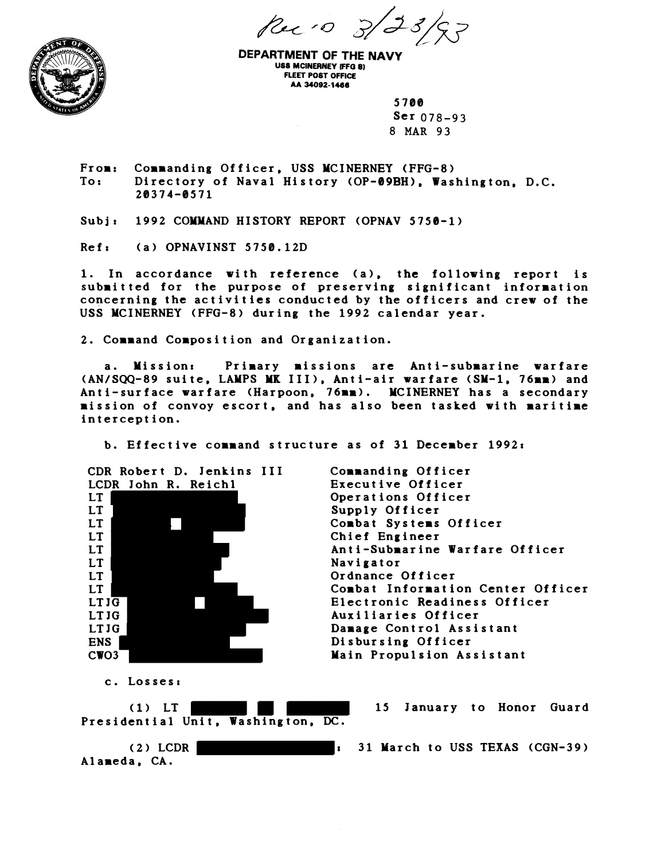Rue 10 5.



**DEPARTMENT OF THE NAVY USS MCINERNEY IFFG 81 FLEET POST OFFICE AA 34092-1466** 

> 5700  $Ser 078-93$ **8 MAR 93**

From: Commanding Officer, USS MCINERNEY (FFG-8)<br>To: Directory of Naval History (OP-09BH), Was Directory of Naval History (OP-09BH), Washington, D.C. 2B374-8571

Subj: 1992 COMMAND HISTORY REPORT (OPNAV 5750-1)

Ref: (a) OPNAVINST 5750.12D

1. In accordance with reference (a), the following report is submitted for the purpose of preserving significant information concerning the activities conducted by the officers and crew of the USS MCINERNEY (FFG-8) during the 1992 calendar year.

2. Command Composition and Organization.

a. Mission: Primary missions are Anti-submarine warfare (AN/SQQ-89 suite, LAMPS MK 111). Anti-air warfare (SM-1, 76mm) and Anti-surface warfare (Harpoon, 76mm). MCINERNEY has a secondary mission of convoy escort, and has also been tasked with maritime interception.

b. Effective command structure as of 31 December 1992:

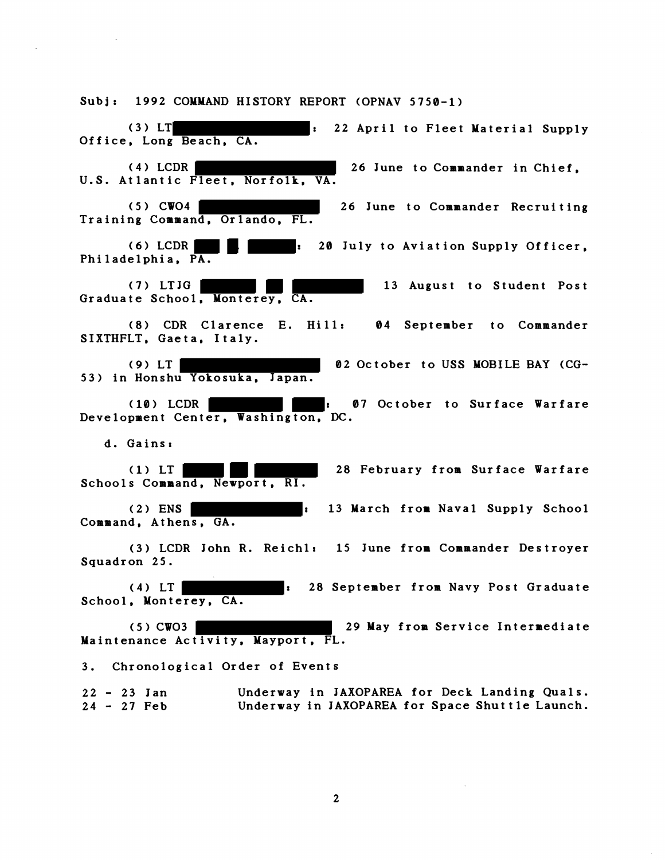Subj: 1992 COMMAND HISTORY REPORT (OPNAV 5750-1) (3) LT  $\qquad \qquad : \qquad 22$  April to Fleet Material Supply Office, Long Beach, CA. (4) LCDR 26 June to Commander in Chief, U.S. Atlantic Fleet, Norfolk, VA. (5) CW04 26 June to Commander Recruiting Training Command, Orlando, FL. (6) LCDR : 20 July to Aviation Supply Officer, Philadelphia, PA. (7) LTJG 13 August to Student Post Graduate School, Monterey, CA. (8) CDR Clarence E. Hill: 04 September to Commander SIXTHFLT, Gaeta, Italy. (9) LT 02 October to USS MOBILE BAY (CG-53) in Honshu Yokosuka, Japan. **(10)** LCDR : 07 October to Surface Warfare Development Center, Washington, **DC.**  d. Gains: 28 February from Surface Warfare Schools Command, Newport, RI. (2) ENS : 13 March from Naval Supply School Command, Athens, GA. (3) LCDR John R. Reichlt 15 June from Commander Destroyer Squadron 25. **(4)** LT : 28 September from Navy Post Graduate School, Monterey, CA. (5) CW03 29 May from Service Intermediate Maintenance Activity, Mayport, FL. 3. Chronological Order of Events 22 - 23 Jan Underway in JAXOPAREA for Deck Landing Quals.<br>24 - 27 Feb Underway in JAXOPAREA for Space Shuttle Launch. Underway in JAXOPAREA for Space Shuttle Launch.

 $2<sup>1</sup>$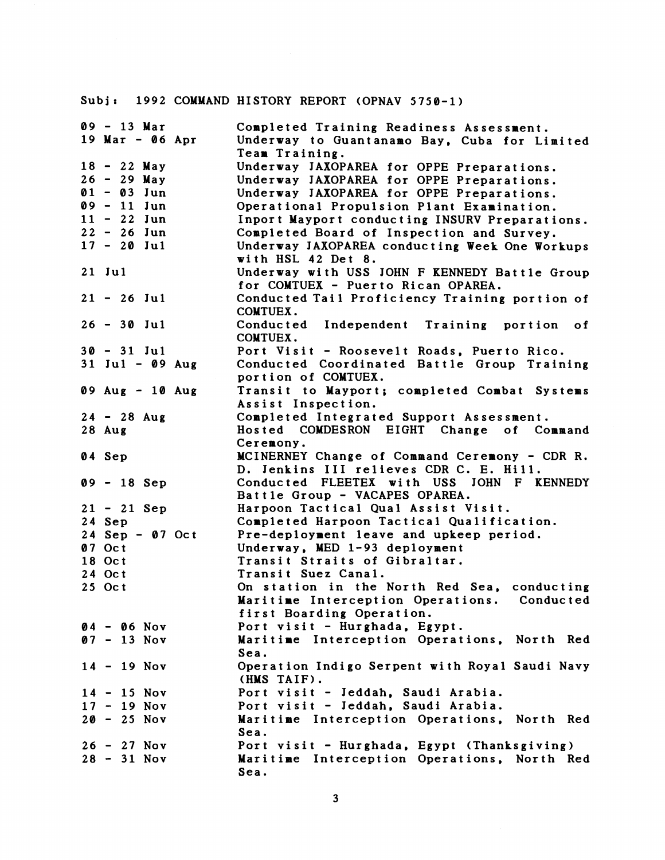## Subjr **1992** COMMAND HISTORY REPORT (OPNAV **5750-1)**

| $09 - 13$ Mar                     | Completed Training Readiness Assessment.       |
|-----------------------------------|------------------------------------------------|
| 19 Mar - $06$ Apr                 | Underway to Guantanamo Bay, Cuba for Limited   |
|                                   | Team Training.                                 |
| $18 - 22$ May                     | Underway JAXOPAREA for OPPE Preparations.      |
| $26 - 29$ May                     | Underway JAXOPAREA for OPPE Preparations.      |
| $01 - 03$ Jun                     |                                                |
| $09 - 11$ Jun                     | Underway JAXOPAREA for OPPE Preparations.      |
|                                   | Operational Propulsion Plant Examination.      |
| $11 - 22$ Jun                     | Inport Mayport conducting INSURV Preparations. |
| $22 - 26$ Jun                     | Completed Board of Inspection and Survey.      |
| $17 - 20$ Jul                     | Underway JAXOPAREA conducting Week One Workups |
|                                   | with HSL 42 Det 8.                             |
| 21 Jul                            | Underway with USS JOHN F KENNEDY Battle Group  |
|                                   | for COMTUEX - Puerto Rican OPAREA.             |
| $21 - 26$ Jul                     | Conducted Tail Proficiency Training portion of |
|                                   | COMTUEX.                                       |
| $26 - 30$ Jul                     | Conducted<br>Independent Training portion of   |
|                                   | COMTUEX.                                       |
| $30 - 31$ Jul                     | Port Visit - Roosevelt Roads, Puerto Rico.     |
| $31$ Jul - 09 Aug                 | Conducted Coordinated Battle Group Training    |
|                                   | portion of COMTUEX.                            |
| $09 \text{ Aug} - 10 \text{ Aug}$ | Transit to Mayport; completed Combat Systems   |
|                                   | Assist Inspection.                             |
| $24 - 28$ Aug                     | Completed Integrated Support Assessment.       |
| $28$ Aug                          | Hosted COMDESRON EIGHT Change of Command       |
|                                   | Ceremony.                                      |
| 04 Sep                            | MCINERNEY Change of Command Ceremony - CDR R.  |
|                                   | D. Jenkins III relieves CDR C. E. Hill.        |
| $09 - 18$ Sep                     | Conducted FLEETEX with USS JOHN F KENNEDY      |
|                                   | Battle Group - VACAPES OPAREA.                 |
| $21 - 21$ Sep                     | Harpoon Tactical Qual Assist Visit.            |
| 24 Sep                            | Completed Harpoon Tactical Qualification.      |
| $24$ Sep - 07 Oct                 | Pre-deployment leave and upkeep period.        |
| 07 Oct                            | Underway, MED 1-93 deployment                  |
| 18 Oct                            | Transit Straits of Gibraltar.                  |
| 24 Oct                            | Transit Suez Canal.                            |
| 25 Oct                            | On station in the North Red Sea, conducting    |
|                                   | Maritime Interception Operations. Conducted    |
|                                   | first Boarding Operation.                      |
| $04 - 06$ Nov                     | Port visit - Hurghada, Egypt.                  |
| $07 - 13$ Nov                     | Maritime Interception Operations, North Red    |
|                                   | Sea.                                           |
| $14 - 19$ Nov                     | Operation Indigo Serpent with Royal Saudi Navy |
|                                   | (HMS TAIF).                                    |
| $14 - 15$ Nov                     | Port visit - Jeddah, Saudi Arabia.             |
| $17 - 19$ Nov                     | Port visit - Jeddah, Saudi Arabia.             |
| $20 - 25$ Nov                     | Maritime Interception Operations, North Red    |
|                                   | Sea.                                           |
| $26 - 27$ Nov                     | Port visit - Hurghada, Egypt (Thanksgiving)    |
| $28 - 31$ Nov                     | Maritime Interception Operations, North Red    |
|                                   |                                                |
|                                   | Sea.                                           |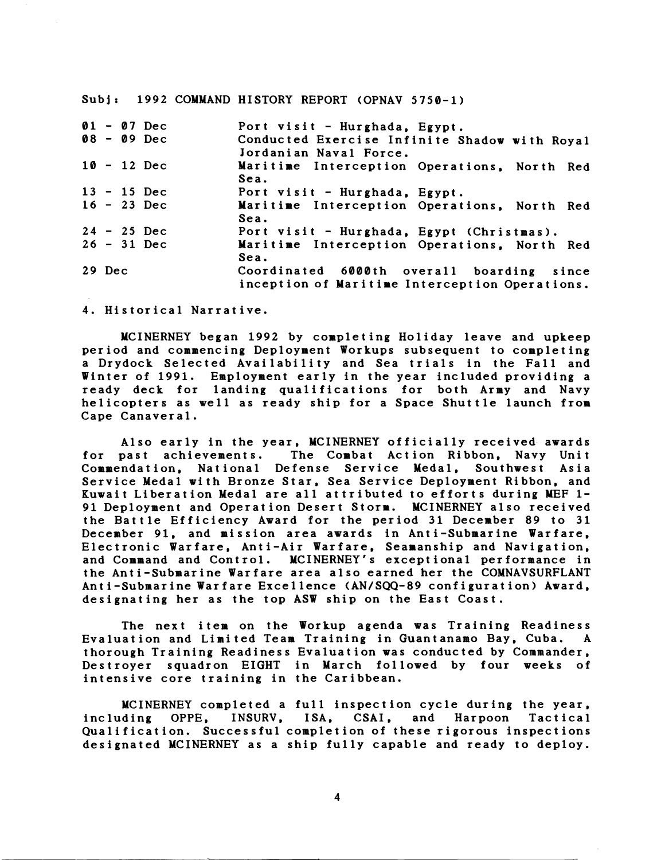Subj: 1992 COMMAND HISTORY REPORT (OPNAV 5750-1)

| $01 - 07$ Dec<br>$08 - 09$ Dec | Port visit - Hurghada, Egypt.<br>Conducted Exercise Infinite Shadow with Royal<br>Jordanian Naval Force. |
|--------------------------------|----------------------------------------------------------------------------------------------------------|
| $10 - 12$ Dec                  | Maritime Interception Operations, North Red<br>Sea.                                                      |
| $13 - 15$ Dec                  | Port visit - Hurghada, Egypt.                                                                            |
| $16 - 23$ Dec                  | Maritime Interception Operations, North Red<br>Sea.                                                      |
| $24 - 25$ Dec                  | Port visit - Hurghada, Egypt (Christmas).                                                                |
| $26 - 31$ Dec                  | Maritime Interception Operations, North Red<br>Sea.                                                      |
| 29 Dec                         | Coordinated 6000th overall boarding since<br>inception of Maritime Interception Operations.              |

4. Historical Narrative.

MCINERNEY began 1992 by completing Holiday leave and upkeep period and commencing Deployment Workups subsequent to completing a Drydock Selected Availability and Sea trials in the Fall and Winter of 1991. Employment early in the year included providing a ready deck for landing qualifications for both Army and Navy helicopters as well as ready ship for a Space Shuttle launch from Cape Canaver a1 .

Also early in the year, MCINERNEY officially received awards for past achievements. The Combat Action Ribbon, Navy Unit Commendation, National Defense Service Medal, Southwest Asia Service Medal with Bronze Star, Sea Service Deployment Ribbon, and Kuwait Liberation Medal are all attributed to efforts during MEF 1- 91 Deployment and Operation Desert Storm. MCINERNEY also received the Battle Efficiency Award for the period 31 December 89 to 31 December 91, and mission area awards in Anti-Submarine Warfare, Electronic Warfare, Anti-Air Warfare, Seamanship and Navigation, and Command and Control. MCINERNEY's exceptional performance in the Anti-Submarine Warfare area also earned her the COMNAVSURFLANT Anti-Submarine Warfare Excellence (AN/SQQ-89 configuration) Award, designating her as the top ASW ship on the East Coast.

The next item on the Workup agenda was Training Readiness Evaluation and Limited Team Training in Guantanamo Bay, Cuba. A thorough Training Readiness Evaluation was conducted by Commander, Destroyer squadron EIGHT in March followed by four weeks of intensive core training in the Caribbean.

MCINERNEY completed a full inspection cycle during the year,<br>ding OPPE, INSURV, ISA, CSAI, and Harpoon Tactical including OPPE, INSURV, ISA, CSAI, and Harpoon Tactical Qualification. Successful completion of these rigorous inspections designated MCINERNEY as a ship fully capable and ready to deploy.